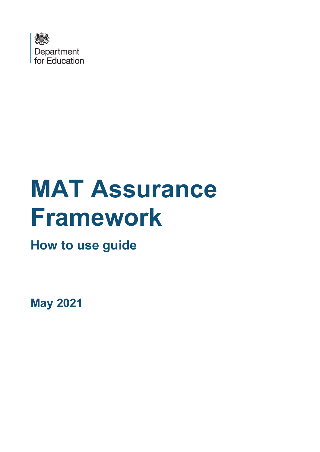

# **MAT Assurance Framework**

**How to use guide** 

**May 2021**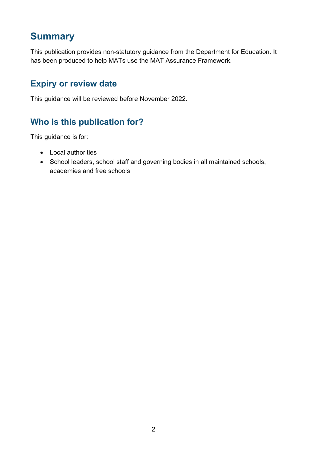## **Summary**

This publication provides non-statutory guidance from the Department for Education. It has been produced to help MATs use the MAT Assurance Framework.

## **Expiry or review date**

This guidance will be reviewed before November 2022.

## **Who is this publication for?**

This guidance is for:

- Local authorities
- School leaders, school staff and governing bodies in all maintained schools, academies and free schools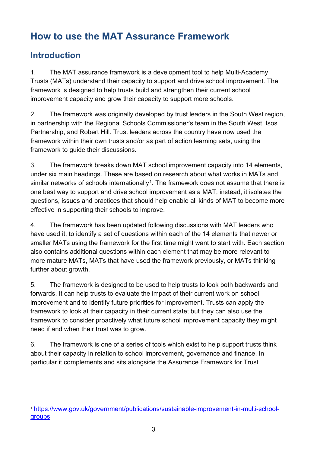# **How to use the MAT Assurance Framework**

## **Introduction**

1. The MAT assurance framework is a development tool to help Multi-Academy Trusts (MATs) understand their capacity to support and drive school improvement. The framework is designed to help trusts build and strengthen their current school improvement capacity and grow their capacity to support more schools.

2. The framework was originally developed by trust leaders in the South West region, in partnership with the Regional Schools Commissioner's team in the South West, Isos Partnership, and Robert Hill. Trust leaders across the country have now used the framework within their own trusts and/or as part of action learning sets, using the framework to guide their discussions.

3. The framework breaks down MAT school improvement capacity into 14 elements, under six main headings. These are based on research about what works in MATs and similar networks of schools internationally<sup>[1](#page-2-0)</sup>. The framework does not assume that there is one best way to support and drive school improvement as a MAT; instead, it isolates the questions, issues and practices that should help enable all kinds of MAT to become more effective in supporting their schools to improve.

4. The framework has been updated following discussions with MAT leaders who have used it, to identify a set of questions within each of the 14 elements that newer or smaller MATs using the framework for the first time might want to start with. Each section also contains additional questions within each element that may be more relevant to more mature MATs, MATs that have used the framework previously, or MATs thinking further about growth.

5. The framework is designed to be used to help trusts to look both backwards and forwards. It can help trusts to evaluate the impact of their current work on school improvement and to identify future priorities for improvement. Trusts can apply the framework to look at their capacity in their current state; but they can also use the framework to consider proactively what future school improvement capacity they might need if and when their trust was to grow.

6. The framework is one of a series of tools which exist to help support trusts think about their capacity in relation to school improvement, governance and finance. In particular it complements and sits alongside the Assurance Framework for Trust

<span id="page-2-0"></span><sup>1</sup> [https://www.gov.uk/government/publications/sustainable-improvement-in-multi-school](https://www.gov.uk/government/publications/sustainable-improvement-in-multi-school-groups)[groups](https://www.gov.uk/government/publications/sustainable-improvement-in-multi-school-groups)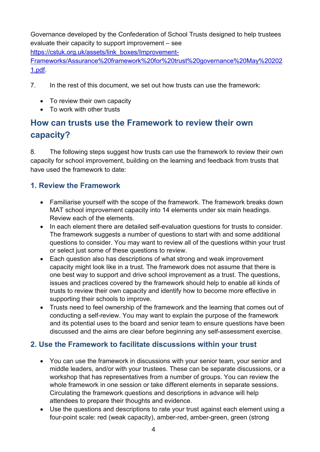Governance developed by the Confederation of School Trusts designed to help trustees evaluate their capacity to support improvement – see

[https://cstuk.org.uk/assets/link\\_boxes/Improvement-](https://cstuk.org.uk/assets/link_boxes/Improvement-Frameworks/Assurance%20framework%20for%20trust%20governance%20May%202021.pdf)

[Frameworks/Assurance%20framework%20for%20trust%20governance%20May%20202](https://cstuk.org.uk/assets/link_boxes/Improvement-Frameworks/Assurance%20framework%20for%20trust%20governance%20May%202021.pdf) [1.pdf.](https://cstuk.org.uk/assets/link_boxes/Improvement-Frameworks/Assurance%20framework%20for%20trust%20governance%20May%202021.pdf)

- 7. In the rest of this document, we set out how trusts can use the framework:
	- To review their own capacity
	- To work with other trusts

## **How can trusts use the Framework to review their own capacity?**

8. The following steps suggest how trusts can use the framework to review their own capacity for school improvement, building on the learning and feedback from trusts that have used the framework to date:

#### **1. Review the Framework**

- Familiarise yourself with the scope of the framework. The framework breaks down MAT school improvement capacity into 14 elements under six main headings. Review each of the elements.
- In each element there are detailed self-evaluation questions for trusts to consider. The framework suggests a number of questions to start with and some additional questions to consider. You may want to review all of the questions within your trust or select just some of these questions to review.
- Each question also has descriptions of what strong and weak improvement capacity might look like in a trust. The framework does not assume that there is one best way to support and drive school improvement as a trust. The questions, issues and practices covered by the framework should help to enable all kinds of trusts to review their own capacity and identify how to become more effective in supporting their schools to improve.
- Trusts need to feel ownership of the framework and the learning that comes out of conducting a self-review. You may want to explain the purpose of the framework and its potential uses to the board and senior team to ensure questions have been discussed and the aims are clear before beginning any self-assessment exercise.

#### **2. Use the Framework to facilitate discussions within your trust**

- You can use the framework in discussions with your senior team, your senior and middle leaders, and/or with your trustees. These can be separate discussions, or a workshop that has representatives from a number of groups. You can review the whole framework in one session or take different elements in separate sessions. Circulating the framework questions and descriptions in advance will help attendees to prepare their thoughts and evidence.
- Use the questions and descriptions to rate your trust against each element using a four-point scale: red (weak capacity), amber-red, amber-green, green (strong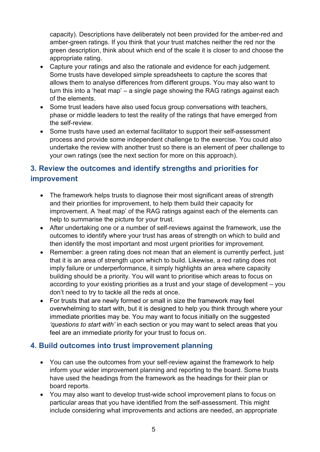capacity). Descriptions have deliberately not been provided for the amber-red and amber-green ratings. If you think that your trust matches neither the red nor the green description, think about which end of the scale it is closer to and choose the appropriate rating.

- Capture your ratings and also the rationale and evidence for each judgement. Some trusts have developed simple spreadsheets to capture the scores that allows them to analyse differences from different groups. You may also want to turn this into a 'heat map' – a single page showing the RAG ratings against each of the elements.
- Some trust leaders have also used focus group conversations with teachers, phase or middle leaders to test the reality of the ratings that have emerged from the self-review.
- Some trusts have used an external facilitator to support their self-assessment process and provide some independent challenge to the exercise. You could also undertake the review with another trust so there is an element of peer challenge to your own ratings (see the next section for more on this approach).

### **3. Review the outcomes and identify strengths and priorities for improvement**

- The framework helps trusts to diagnose their most significant areas of strength and their priorities for improvement, to help them build their capacity for improvement. A 'heat map' of the RAG ratings against each of the elements can help to summarise the picture for your trust.
- After undertaking one or a number of self-reviews against the framework, use the outcomes to identify where your trust has areas of strength on which to build and then identify the most important and most urgent priorities for improvement.
- Remember: a green rating does not mean that an element is currently perfect, just that it is an area of strength upon which to build. Likewise, a red rating does not imply failure or underperformance, it simply highlights an area where capacity building should be a priority. You will want to prioritise which areas to focus on according to your existing priorities as a trust and your stage of development – you don't need to try to tackle all the reds at once.
- For trusts that are newly formed or small in size the framework may feel overwhelming to start with, but it is designed to help you think through where your immediate priorities may be. You may want to focus initially on the suggested *'questions to start with'* in each section or you may want to select areas that you feel are an immediate priority for your trust to focus on.

#### **4. Build outcomes into trust improvement planning**

- You can use the outcomes from your self-review against the framework to help inform your wider improvement planning and reporting to the board. Some trusts have used the headings from the framework as the headings for their plan or board reports.
- You may also want to develop trust-wide school improvement plans to focus on particular areas that you have identified from the self-assessment. This might include considering what improvements and actions are needed, an appropriate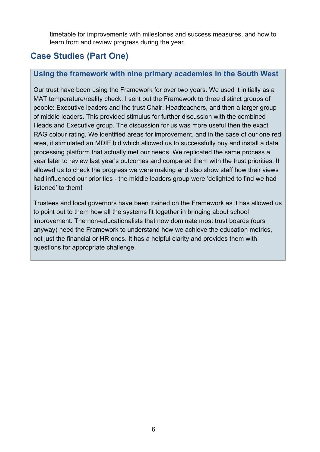timetable for improvements with milestones and success measures, and how to learn from and review progress during the year.

## **Case Studies (Part One)**

#### **Using the framework with nine primary academies in the South West**

Our trust have been using the Framework for over two years. We used it initially as a MAT temperature/reality check. I sent out the Framework to three distinct groups of people: Executive leaders and the trust Chair, Headteachers, and then a larger group of middle leaders. This provided stimulus for further discussion with the combined Heads and Executive group. The discussion for us was more useful then the exact RAG colour rating. We identified areas for improvement, and in the case of our one red area, it stimulated an MDIF bid which allowed us to successfully buy and install a data processing platform that actually met our needs. We replicated the same process a year later to review last year's outcomes and compared them with the trust priorities. It allowed us to check the progress we were making and also show staff how their views had influenced our priorities - the middle leaders group were 'delighted to find we had listened' to them!

Trustees and local governors have been trained on the Framework as it has allowed us to point out to them how all the systems fit together in bringing about school improvement. The non-educationalists that now dominate most trust boards (ours anyway) need the Framework to understand how we achieve the education metrics, not just the financial or HR ones. It has a helpful clarity and provides them with questions for appropriate challenge.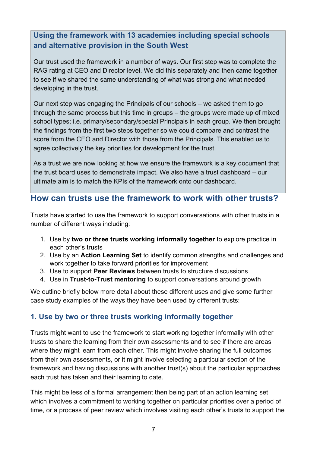## **Using the framework with 13 academies including special schools and alternative provision in the South West**

Our trust used the framework in a number of ways. Our first step was to complete the RAG rating at CEO and Director level. We did this separately and then came together to see if we shared the same understanding of what was strong and what needed developing in the trust.

Our next step was engaging the Principals of our schools – we asked them to go through the same process but this time in groups – the groups were made up of mixed school types; i.e. primary/secondary/special Principals in each group. We then brought the findings from the first two steps together so we could compare and contrast the score from the CEO and Director with those from the Principals. This enabled us to agree collectively the key priorities for development for the trust.

As a trust we are now looking at how we ensure the framework is a key document that the trust board uses to demonstrate impact. We also have a trust dashboard – our ultimate aim is to match the KPIs of the framework onto our dashboard.

## **How can trusts use the framework to work with other trusts?**

Trusts have started to use the framework to support conversations with other trusts in a number of different ways including:

- 1. Use by **two or three trusts working informally together** to explore practice in each other's trusts
- 2. Use by an **Action Learning Set** to identify common strengths and challenges and work together to take forward priorities for improvement
- 3. Use to support **Peer Reviews** between trusts to structure discussions
- 4. Use in **Trust-to-Trust mentoring** to support conversations around growth

We outline briefly below more detail about these different uses and give some further case study examples of the ways they have been used by different trusts:

#### **1. Use by two or three trusts working informally together**

Trusts might want to use the framework to start working together informally with other trusts to share the learning from their own assessments and to see if there are areas where they might learn from each other. This might involve sharing the full outcomes from their own assessments, or it might involve selecting a particular section of the framework and having discussions with another trust(s) about the particular approaches each trust has taken and their learning to date.

This might be less of a formal arrangement then being part of an action learning set which involves a commitment to working together on particular priorities over a period of time, or a process of peer review which involves visiting each other's trusts to support the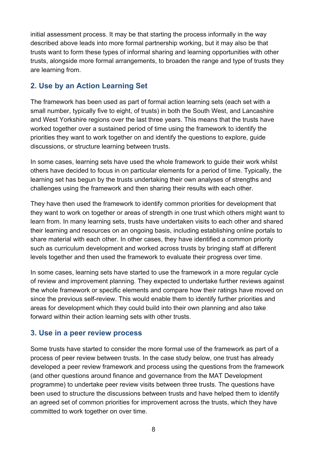initial assessment process. It may be that starting the process informally in the way described above leads into more formal partnership working, but it may also be that trusts want to form these types of informal sharing and learning opportunities with other trusts, alongside more formal arrangements, to broaden the range and type of trusts they are learning from.

#### **2. Use by an Action Learning Set**

The framework has been used as part of formal action learning sets (each set with a small number, typically five to eight, of trusts) in both the South West, and Lancashire and West Yorkshire regions over the last three years. This means that the trusts have worked together over a sustained period of time using the framework to identify the priorities they want to work together on and identify the questions to explore, guide discussions, or structure learning between trusts.

In some cases, learning sets have used the whole framework to guide their work whilst others have decided to focus in on particular elements for a period of time. Typically, the learning set has begun by the trusts undertaking their own analyses of strengths and challenges using the framework and then sharing their results with each other.

They have then used the framework to identify common priorities for development that they want to work on together or areas of strength in one trust which others might want to learn from. In many learning sets, trusts have undertaken visits to each other and shared their learning and resources on an ongoing basis, including establishing online portals to share material with each other. In other cases, they have identified a common priority such as curriculum development and worked across trusts by bringing staff at different levels together and then used the framework to evaluate their progress over time.

In some cases, learning sets have started to use the framework in a more regular cycle of review and improvement planning. They expected to undertake further reviews against the whole framework or specific elements and compare how their ratings have moved on since the previous self-review. This would enable them to identify further priorities and areas for development which they could build into their own planning and also take forward within their action learning sets with other trusts.

#### **3. Use in a peer review process**

Some trusts have started to consider the more formal use of the framework as part of a process of peer review between trusts. In the case study below, one trust has already developed a peer review framework and process using the questions from the framework (and other questions around finance and governance from the MAT Development programme) to undertake peer review visits between three trusts. The questions have been used to structure the discussions between trusts and have helped them to identify an agreed set of common priorities for improvement across the trusts, which they have committed to work together on over time.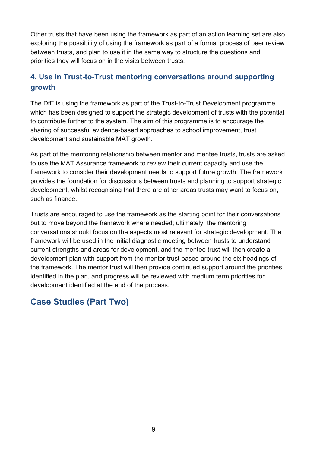Other trusts that have been using the framework as part of an action learning set are also exploring the possibility of using the framework as part of a formal process of peer review between trusts, and plan to use it in the same way to structure the questions and priorities they will focus on in the visits between trusts.

#### **4. Use in Trust-to-Trust mentoring conversations around supporting growth**

The DfE is using the framework as part of the Trust-to-Trust Development programme which has been designed to support the strategic development of trusts with the potential to contribute further to the system. The aim of this programme is to encourage the sharing of successful evidence-based approaches to school improvement, trust development and sustainable MAT growth.

As part of the mentoring relationship between mentor and mentee trusts, trusts are asked to use the MAT Assurance framework to review their current capacity and use the framework to consider their development needs to support future growth. The framework provides the foundation for discussions between trusts and planning to support strategic development, whilst recognising that there are other areas trusts may want to focus on, such as finance.

Trusts are encouraged to use the framework as the starting point for their conversations but to move beyond the framework where needed; ultimately, the mentoring conversations should focus on the aspects most relevant for strategic development. The framework will be used in the initial diagnostic meeting between trusts to understand current strengths and areas for development, and the mentee trust will then create a development plan with support from the mentor trust based around the six headings of the framework. The mentor trust will then provide continued support around the priorities identified in the plan, and progress will be reviewed with medium term priorities for development identified at the end of the process.

## **Case Studies (Part Two)**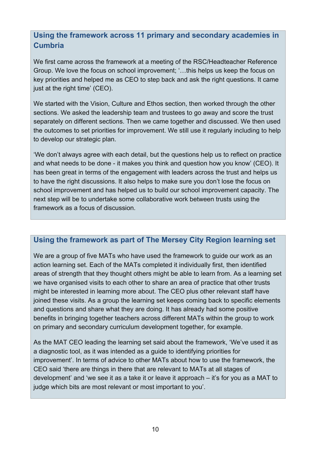#### **Using the framework across 11 primary and secondary academies in Cumbria**

We first came across the framework at a meeting of the RSC/Headteacher Reference Group. We love the focus on school improvement; '…this helps us keep the focus on key priorities and helped me as CEO to step back and ask the right questions. It came just at the right time' (CEO).

We started with the Vision, Culture and Ethos section, then worked through the other sections. We asked the leadership team and trustees to go away and score the trust separately on different sections. Then we came together and discussed. We then used the outcomes to set priorities for improvement. We still use it regularly including to help to develop our strategic plan.

'We don't always agree with each detail, but the questions help us to reflect on practice and what needs to be done - it makes you think and question how you know' (CEO). It has been great in terms of the engagement with leaders across the trust and helps us to have the right discussions. It also helps to make sure you don't lose the focus on school improvement and has helped us to build our school improvement capacity. The next step will be to undertake some collaborative work between trusts using the framework as a focus of discussion.

#### **Using the framework as part of The Mersey City Region learning set**

We are a group of five MATs who have used the framework to guide our work as an action learning set. Each of the MATs completed it individually first, then identified areas of strength that they thought others might be able to learn from. As a learning set we have organised visits to each other to share an area of practice that other trusts might be interested in learning more about. The CEO plus other relevant staff have joined these visits. As a group the learning set keeps coming back to specific elements and questions and share what they are doing. It has already had some positive benefits in bringing together teachers across different MATs within the group to work on primary and secondary curriculum development together, for example.

As the MAT CEO leading the learning set said about the framework, 'We've used it as a diagnostic tool, as it was intended as a guide to identifying priorities for improvement'. In terms of advice to other MATs about how to use the framework, the CEO said 'there are things in there that are relevant to MATs at all stages of development' and 'we see it as a take it or leave it approach – it's for you as a MAT to judge which bits are most relevant or most important to you'.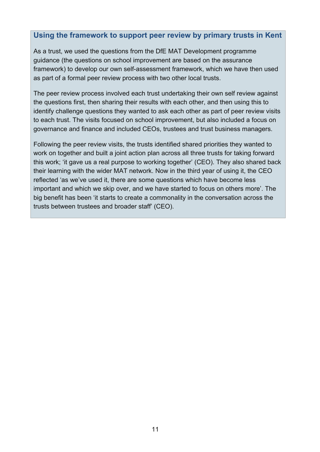#### **Using the framework to support peer review by primary trusts in Kent**

As a trust, we used the questions from the DfE MAT Development programme guidance (the questions on school improvement are based on the assurance framework) to develop our own self-assessment framework, which we have then used as part of a formal peer review process with two other local trusts.

The peer review process involved each trust undertaking their own self review against the questions first, then sharing their results with each other, and then using this to identify challenge questions they wanted to ask each other as part of peer review visits to each trust. The visits focused on school improvement, but also included a focus on governance and finance and included CEOs, trustees and trust business managers.

Following the peer review visits, the trusts identified shared priorities they wanted to work on together and built a joint action plan across all three trusts for taking forward this work; 'it gave us a real purpose to working together' (CEO). They also shared back their learning with the wider MAT network. Now in the third year of using it, the CEO reflected 'as we've used it, there are some questions which have become less important and which we skip over, and we have started to focus on others more'. The big benefit has been 'it starts to create a commonality in the conversation across the trusts between trustees and broader staff' (CEO).